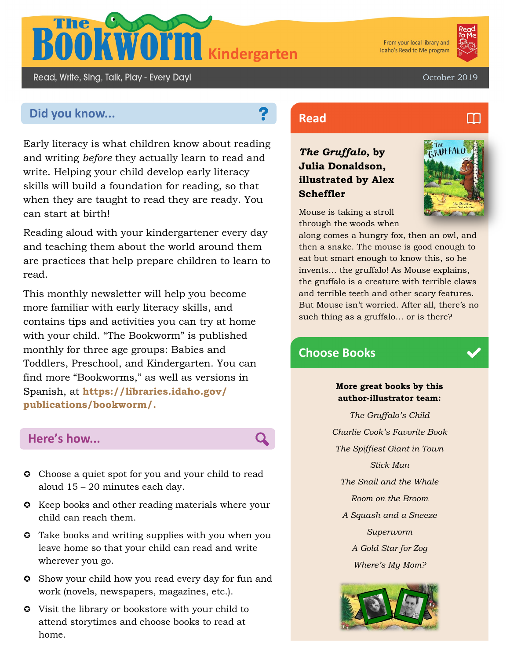

From your local library and Idaho's Read to Me program



Read, Write, Sing, Talk, Play - Every Day!

October 2019

# **Did you know... Read Read**

Early literacy is what children know about reading and writing *before* they actually learn to read and write. Helping your child develop early literacy skills will build a foundation for reading, so that when they are taught to read they are ready. You can start at birth!

Reading aloud with your kindergartener every day and teaching them about the world around them are practices that help prepare children to learn to read.

This monthly newsletter will help you become more familiar with early literacy skills, and contains tips and activities you can try at home with your child. "The Bookworm" is published monthly for three age groups: Babies and Toddlers, Preschool, and Kindergarten. You can find more "Bookworms," as well as versions in Spanish, at **https://libraries.idaho.gov/ publications/bookworm/.** 

## **Here's how...**

- **C** Choose a quiet spot for you and your child to read aloud 15 – 20 minutes each day.
- $\bullet$  Keep books and other reading materials where your child can reach them.
- **C** Take books and writing supplies with you when you leave home so that your child can read and write wherever you go.
- Show your child how you read every day for fun and work (novels, newspapers, magazines, etc.).
- Visit the library or bookstore with your child to attend storytimes and choose books to read at home.

# *The Gruffalo***, by Julia Donaldson, illustrated by Alex Scheffler**

Mouse is taking a stroll through the woods when



along comes a hungry fox, then an owl, and then a snake. The mouse is good enough to eat but smart enough to know this, so he invents… the gruffalo! As Mouse explains, the gruffalo is a creature with terrible claws and terrible teeth and other scary features. But Mouse isn't worried. After all, there's no such thing as a gruffalo… or is there?

# **Choose Books**

## **More great books by this author-illustrator team:**

*The Gruffalo's Child Charlie Cook's Favorite Book The Spiffiest Giant in Town Stick Man The Snail and the Whale Room on the Broom A Squash and a Sneeze Superworm A Gold Star for Zog Where's My Mom?*